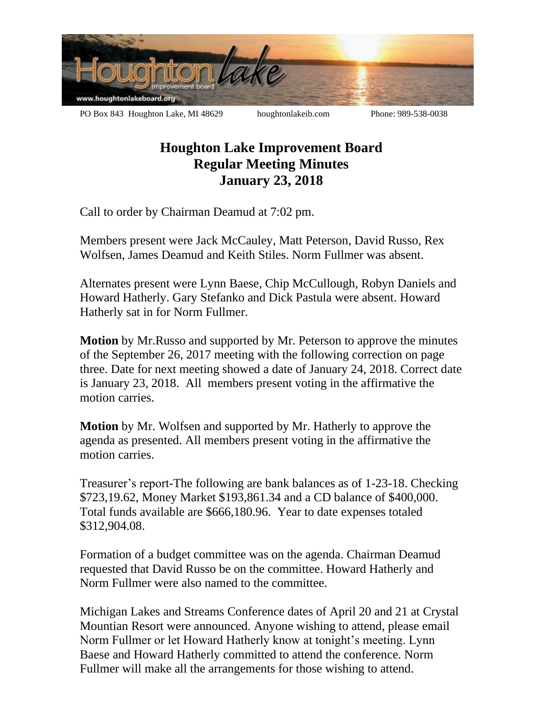

## **Houghton Lake Improvement Board Regular Meeting Minutes January 23, 2018**

Call to order by Chairman Deamud at 7:02 pm.

Members present were Jack McCauley, Matt Peterson, David Russo, Rex Wolfsen, James Deamud and Keith Stiles. Norm Fullmer was absent.

Alternates present were Lynn Baese, Chip McCullough, Robyn Daniels and Howard Hatherly. Gary Stefanko and Dick Pastula were absent. Howard Hatherly sat in for Norm Fullmer.

**Motion** by Mr.Russo and supported by Mr. Peterson to approve the minutes of the September 26, 2017 meeting with the following correction on page three. Date for next meeting showed a date of January 24, 2018. Correct date is January 23, 2018. All members present voting in the affirmative the motion carries.

**Motion** by Mr. Wolfsen and supported by Mr. Hatherly to approve the agenda as presented. All members present voting in the affirmative the motion carries.

Treasurer's report-The following are bank balances as of 1-23-18. Checking \$723,19.62, Money Market \$193,861.34 and a CD balance of \$400,000. Total funds available are \$666,180.96. Year to date expenses totaled \$312,904.08.

Formation of a budget committee was on the agenda. Chairman Deamud requested that David Russo be on the committee. Howard Hatherly and Norm Fullmer were also named to the committee.

Michigan Lakes and Streams Conference dates of April 20 and 21 at Crystal Mountian Resort were announced. Anyone wishing to attend, please email Norm Fullmer or let Howard Hatherly know at tonight's meeting. Lynn Baese and Howard Hatherly committed to attend the conference. Norm Fullmer will make all the arrangements for those wishing to attend.